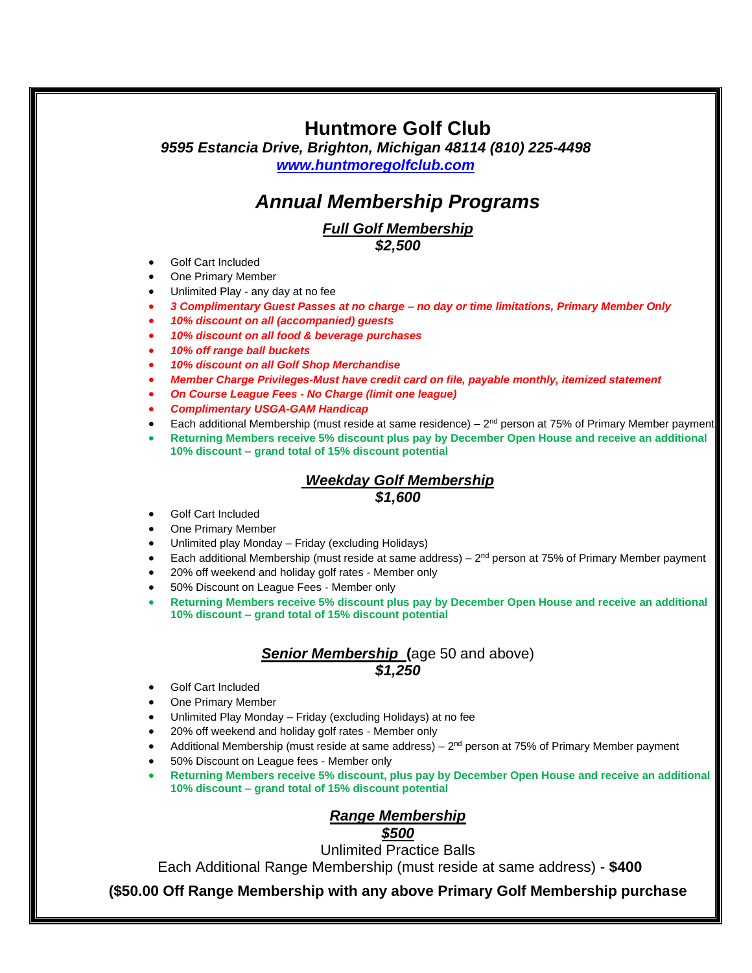# **Huntmore Golf Club**

*9595 Estancia Drive, Brighton, Michigan 48114 (810) 225-4498 [www.huntmoregolfclub.com](http://www.huntmoregolfclub.com/)*

# *Annual Membership Programs*

#### *Full Golf Membership \$2,500*

• Golf Cart Included

- One Primary Member
- Unlimited Play any day at no fee
- *3 Complimentary Guest Passes at no charge – no day or time limitations, Primary Member Only*
- *10% discount on all (accompanied) guests*
- *10% discount on all food & beverage purchases*
- *10% off range ball buckets*
- *10% discount on all Golf Shop Merchandise*
- *Member Charge Privileges-Must have credit card on file, payable monthly, itemized statement*
- *On Course League Fees - No Charge (limit one league)*
- *Complimentary USGA-GAM Handicap*
- Each additional Membership (must reside at same residence)  $2<sup>nd</sup>$  person at 75% of Primary Member payment
- **Returning Members receive 5% discount plus pay by December Open House and receive an additional 10% discount – grand total of 15% discount potential**

#### *Weekday Golf Membership*

### *\$1,600*

- Golf Cart Included
- One Primary Member
- Unlimited play Monday Friday (excluding Holidays)
- Each additional Membership (must reside at same address)  $-2<sup>nd</sup>$  person at 75% of Primary Member payment
- 20% off weekend and holiday golf rates Member only
- 50% Discount on League Fees Member only
- **Returning Members receive 5% discount plus pay by December Open House and receive an additional 10% discount – grand total of 15% discount potential**

### *Senior Membership* **(**age 50 and above) *\$1,250*

- Golf Cart Included
- One Primary Member
- Unlimited Play Monday Friday (excluding Holidays) at no fee
- 20% off weekend and holiday golf rates Member only
- Additional Membership (must reside at same address)  $2<sup>nd</sup>$  person at 75% of Primary Member payment
- 50% Discount on League fees Member only
- **Returning Members receive 5% discount, plus pay by December Open House and receive an additional 10% discount – grand total of 15% discount potential**

#### *Range Membership \$500*

Unlimited Practice Balls

Each Additional Range Membership (must reside at same address) - **\$400**

**(\$50.00 Off Range Membership with any above Primary Golf Membership purchase**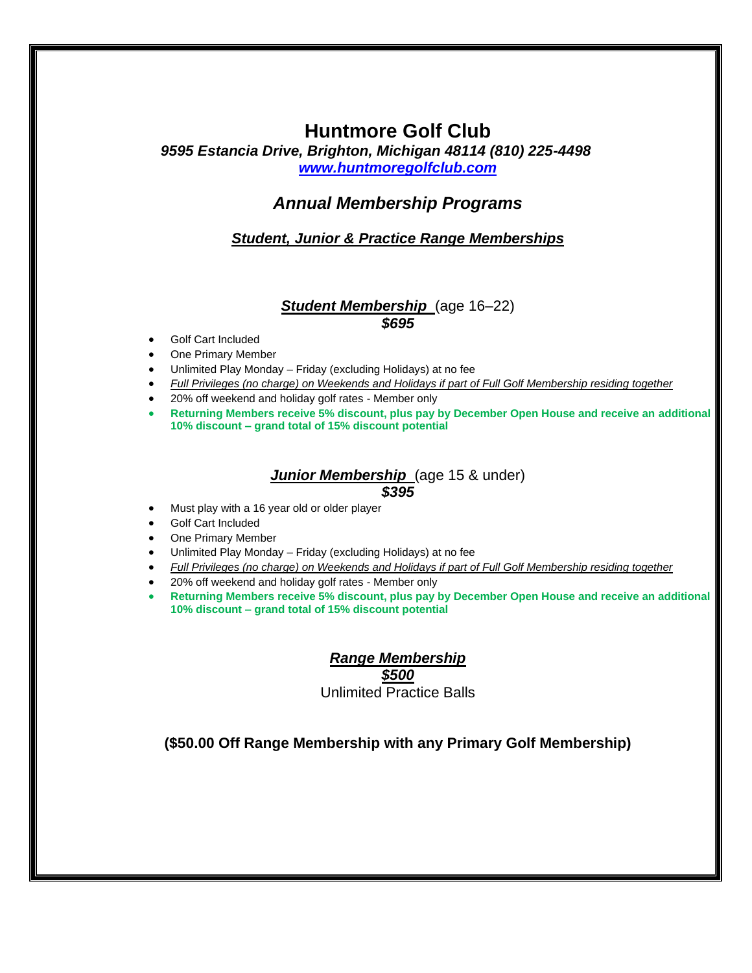## **Huntmore Golf Club**

*9595 Estancia Drive, Brighton, Michigan 48114 (810) 225-4498 [www.huntmoregolfclub.com](http://www.huntmoregolfclub.com/)*

## *Annual Membership Programs*

*Student, Junior & Practice Range Memberships*

#### *Student Membership* (age 16–22) *\$695*

- Golf Cart Included
- One Primary Member
- Unlimited Play Monday Friday (excluding Holidays) at no fee
- *Full Privileges (no charge) on Weekends and Holidays if part of Full Golf Membership residing together*
- 20% off weekend and holiday golf rates Member only
- **Returning Members receive 5% discount, plus pay by December Open House and receive an additional 10% discount – grand total of 15% discount potential**

#### **Junior Membership** (age 15 & under) *\$395*

- Must play with a 16 year old or older player
- Golf Cart Included
- One Primary Member
- Unlimited Play Monday Friday (excluding Holidays) at no fee
- *Full Privileges (no charge) on Weekends and Holidays if part of Full Golf Membership residing together*
- 20% off weekend and holiday golf rates Member only
- **Returning Members receive 5% discount, plus pay by December Open House and receive an additional 10% discount – grand total of 15% discount potential**

*Range Membership \$500* Unlimited Practice Balls

**(\$50.00 Off Range Membership with any Primary Golf Membership)**